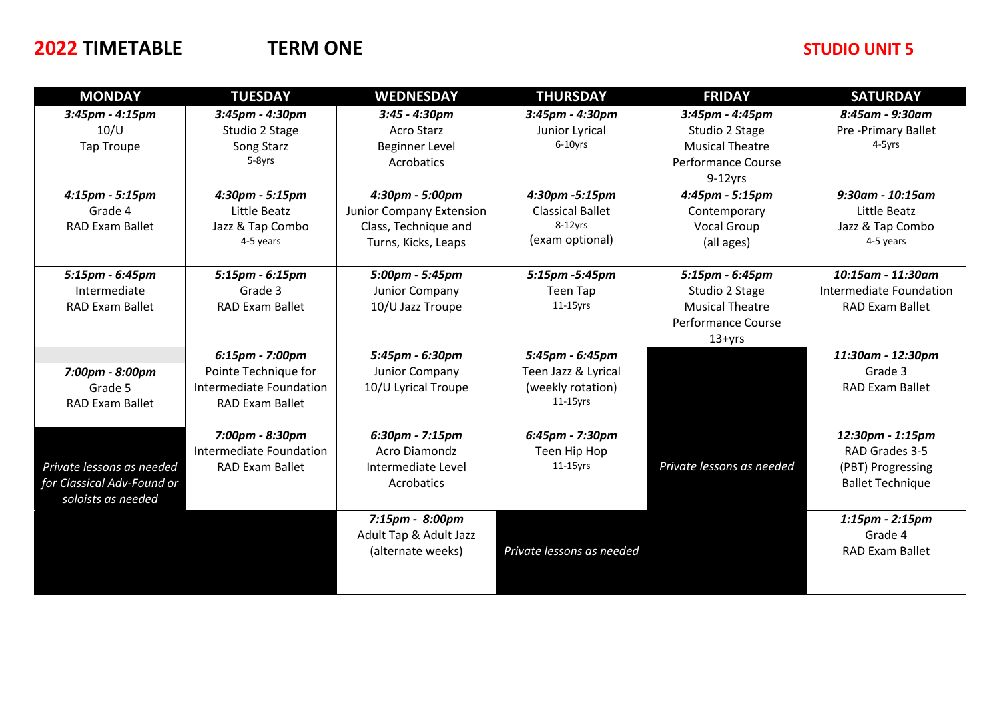## **2022 TIMETABLE TERM ONE STUDIO UNIT 5**

| <b>MONDAY</b>              | <b>TUESDAY</b>          | <b>WEDNESDAY</b>                | <b>THURSDAY</b>           | <b>FRIDAY</b>             | <b>SATURDAY</b>         |
|----------------------------|-------------------------|---------------------------------|---------------------------|---------------------------|-------------------------|
| 3:45pm - 4:15pm            | 3:45pm - 4:30pm         | $3:45 - 4:30pm$                 | 3:45pm - 4:30pm           | 3:45pm - 4:45pm           | 8:45am - 9:30am         |
| $10$ /U                    | Studio 2 Stage          | <b>Acro Starz</b>               | Junior Lyrical            | Studio 2 Stage            | Pre-Primary Ballet      |
| <b>Tap Troupe</b>          | Song Starz              | <b>Beginner Level</b>           | 6-10yrs                   | <b>Musical Theatre</b>    | 4-5yrs                  |
|                            | 5-8yrs                  | <b>Acrobatics</b>               |                           | Performance Course        |                         |
|                            |                         |                                 |                           | $9-12$ yrs                |                         |
| 4:15pm - 5:15pm            | 4:30pm - 5:15pm         | 4:30pm - 5:00pm                 | 4:30pm -5:15pm            | 4:45pm - 5:15pm           | $9:30$ am - 10:15am     |
| Grade 4                    | Little Beatz            | <b>Junior Company Extension</b> | <b>Classical Ballet</b>   | Contemporary              | Little Beatz            |
| <b>RAD Exam Ballet</b>     | Jazz & Tap Combo        | Class, Technique and            | $8-12$ vrs                | <b>Vocal Group</b>        | Jazz & Tap Combo        |
|                            | 4-5 years               | Turns, Kicks, Leaps             | (exam optional)           | (all ages)                | 4-5 years               |
|                            |                         |                                 |                           |                           |                         |
| 5:15pm - 6:45pm            | 5:15pm - 6:15pm         | 5:00pm - 5:45pm                 | 5:15pm -5:45pm            | 5:15pm - 6:45pm           | 10:15am - 11:30am       |
| Intermediate               | Grade 3                 | Junior Company                  | Teen Tap                  | Studio 2 Stage            | Intermediate Foundation |
| <b>RAD Exam Ballet</b>     | <b>RAD Exam Ballet</b>  | 10/U Jazz Troupe                | $11-15$ yrs               | <b>Musical Theatre</b>    | <b>RAD Exam Ballet</b>  |
|                            |                         |                                 |                           | Performance Course        |                         |
|                            |                         |                                 |                           | $13+yrs$                  |                         |
|                            | 6:15pm - 7:00pm         | 5:45pm - 6:30pm                 | 5:45pm - 6:45pm           |                           | 11:30am - 12:30pm       |
| 7:00pm - 8:00pm            | Pointe Technique for    | Junior Company                  | Teen Jazz & Lyrical       |                           | Grade 3                 |
| Grade 5                    | Intermediate Foundation | 10/U Lyrical Troupe             | (weekly rotation)         |                           | <b>RAD Exam Ballet</b>  |
| <b>RAD Exam Ballet</b>     | <b>RAD Exam Ballet</b>  |                                 | $11-15$ yrs               |                           |                         |
|                            |                         |                                 |                           |                           |                         |
|                            | 7:00pm - 8:30pm         | 6:30pm - 7:15pm                 | 6:45pm - 7:30pm           |                           | 12:30pm - 1:15pm        |
|                            | Intermediate Foundation | <b>Acro Diamondz</b>            | Teen Hip Hop              |                           | RAD Grades 3-5          |
| Private lessons as needed  | <b>RAD Exam Ballet</b>  | Intermediate Level              | $11-15$ yrs               | Private lessons as needed | (PBT) Progressing       |
| for Classical Adv-Found or |                         | Acrobatics                      |                           |                           | <b>Ballet Technique</b> |
| soloists as needed         |                         |                                 |                           |                           |                         |
|                            |                         | 7:15pm - 8:00pm                 |                           |                           | $1:15pm - 2:15pm$       |
|                            |                         | Adult Tap & Adult Jazz          |                           |                           | Grade 4                 |
|                            |                         | (alternate weeks)               | Private lessons as needed |                           | <b>RAD Exam Ballet</b>  |
|                            |                         |                                 |                           |                           |                         |
|                            |                         |                                 |                           |                           |                         |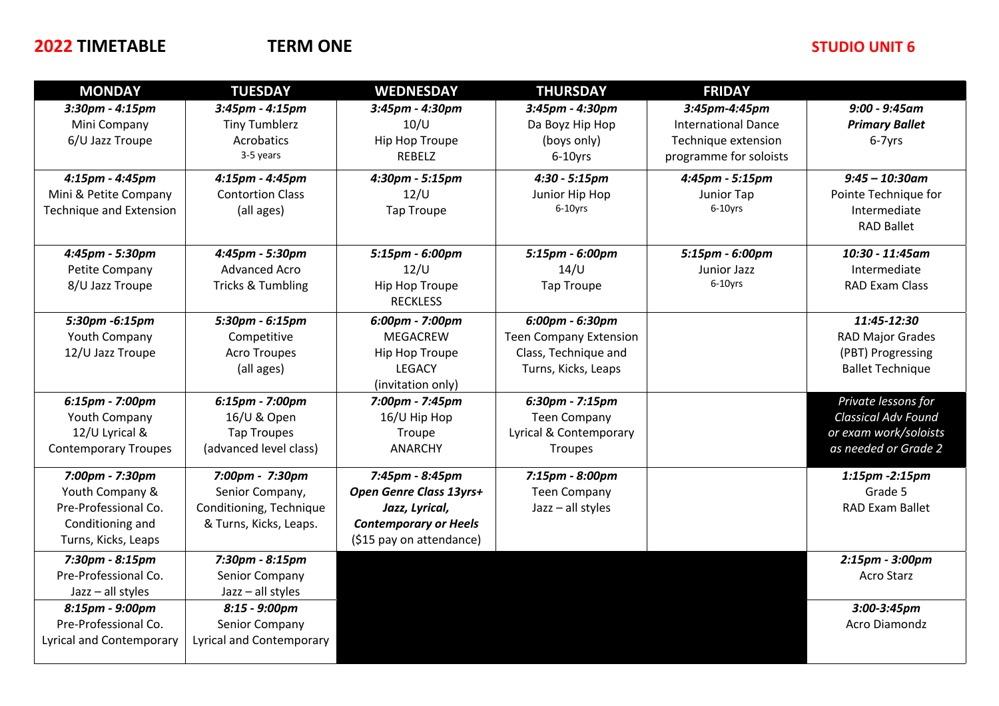### **2022 TIMETABLE TERM ONE TERM ONE TERM ONE STUDIO UNIT 6**

| <b>MONDAY</b>                   | <b>TUESDAY</b>                  | <b>WEDNESDAY</b>             | <b>THURSDAY</b>               | <b>FRIDAY</b>              |                            |
|---------------------------------|---------------------------------|------------------------------|-------------------------------|----------------------------|----------------------------|
| $3:30$ pm - $4:15$ pm           | $3:45$ pm - $4:15$ pm           | 3:45pm - 4:30pm              | 3:45pm - 4:30pm               | 3:45pm-4:45pm              | $9:00 - 9:45$ am           |
| Mini Company                    | <b>Tiny Tumblerz</b>            | 10/U                         | Da Boyz Hip Hop               | <b>International Dance</b> | <b>Primary Ballet</b>      |
| 6/U Jazz Troupe                 | Acrobatics                      | Hip Hop Troupe               | (boys only)                   | Technique extension        | 6-7yrs                     |
|                                 | 3-5 years                       | <b>REBELZ</b>                | $6-10$ yrs                    | programme for soloists     |                            |
| 4:15pm - 4:45pm                 | 4:15pm - 4:45pm                 | 4:30pm - 5:15pm              | $4:30 - 5:15pm$               | 4:45pm - 5:15pm            | $9:45 - 10:30$ am          |
| Mini & Petite Company           | <b>Contortion Class</b>         | 12/U                         | Junior Hip Hop                | Junior Tap                 | Pointe Technique for       |
| <b>Technique and Extension</b>  | (all ages)                      | <b>Tap Troupe</b>            | $6-10$ yrs                    | 6-10yrs                    | Intermediate               |
|                                 |                                 |                              |                               |                            | <b>RAD Ballet</b>          |
| 4:45pm - 5:30pm                 | 4:45pm - 5:30pm                 | 5:15pm - 6:00pm              | 5:15pm - 6:00pm               | 5:15pm - 6:00pm            | 10:30 - 11:45am            |
| Petite Company                  | <b>Advanced Acro</b>            | 12/U                         | $14$ /U                       | Junior Jazz                | Intermediate               |
| 8/U Jazz Troupe                 | Tricks & Tumbling               | Hip Hop Troupe               | <b>Tap Troupe</b>             | 6-10yrs                    | <b>RAD Exam Class</b>      |
|                                 |                                 | <b>RECKLESS</b>              |                               |                            |                            |
| 5:30pm -6:15pm                  | 5:30pm - 6:15pm                 | 6:00pm - 7:00pm              | 6:00pm - 6:30pm               |                            | 11:45-12:30                |
| Youth Company                   | Competitive                     | <b>MEGACREW</b>              | <b>Teen Company Extension</b> |                            | <b>RAD Major Grades</b>    |
| 12/U Jazz Troupe                | <b>Acro Troupes</b>             | Hip Hop Troupe               | Class, Technique and          |                            | (PBT) Progressing          |
|                                 | (all ages)                      | <b>LEGACY</b>                | Turns, Kicks, Leaps           |                            | <b>Ballet Technique</b>    |
|                                 |                                 | (invitation only)            |                               |                            |                            |
| 6:15pm - 7:00pm                 | 6:15pm - 7:00pm                 | 7:00pm - 7:45pm              | 6:30pm - 7:15pm               |                            | Private lessons for        |
| Youth Company                   | 16/U & Open                     | 16/U Hip Hop                 | <b>Teen Company</b>           |                            | <b>Classical Adv Found</b> |
| 12/U Lyrical &                  | <b>Tap Troupes</b>              | Troupe                       | Lyrical & Contemporary        |                            | or exam work/soloists      |
| <b>Contemporary Troupes</b>     | (advanced level class)          | <b>ANARCHY</b>               | Troupes                       |                            | as needed or Grade 2       |
| 7:00pm - 7:30pm                 | 7:00pm - 7:30pm                 | 7:45pm - 8:45pm              | 7:15pm - 8:00pm               |                            | 1:15pm -2:15pm             |
| Youth Company &                 | Senior Company,                 | Open Genre Class 13yrs+      | <b>Teen Company</b>           |                            | Grade 5                    |
| Pre-Professional Co.            | Conditioning, Technique         | Jazz, Lyrical,               | Jazz - all styles             |                            | <b>RAD Exam Ballet</b>     |
| Conditioning and                | & Turns, Kicks, Leaps.          | <b>Contemporary or Heels</b> |                               |                            |                            |
| Turns, Kicks, Leaps             |                                 | (\$15 pay on attendance)     |                               |                            |                            |
| 7:30pm - 8:15pm                 | 7:30pm - 8:15pm                 |                              |                               |                            | 2:15pm - 3:00pm            |
| Pre-Professional Co.            | Senior Company                  |                              |                               |                            | <b>Acro Starz</b>          |
| $Jazz - all styles$             | $Jazz - all styles$             |                              |                               |                            |                            |
| 8:15pm - 9:00pm                 | 8:15 - 9:00pm                   |                              |                               |                            | 3:00-3:45pm                |
| Pre-Professional Co.            | Senior Company                  |                              |                               |                            | <b>Acro Diamondz</b>       |
| <b>Lyrical and Contemporary</b> | <b>Lyrical and Contemporary</b> |                              |                               |                            |                            |
|                                 |                                 |                              |                               |                            |                            |